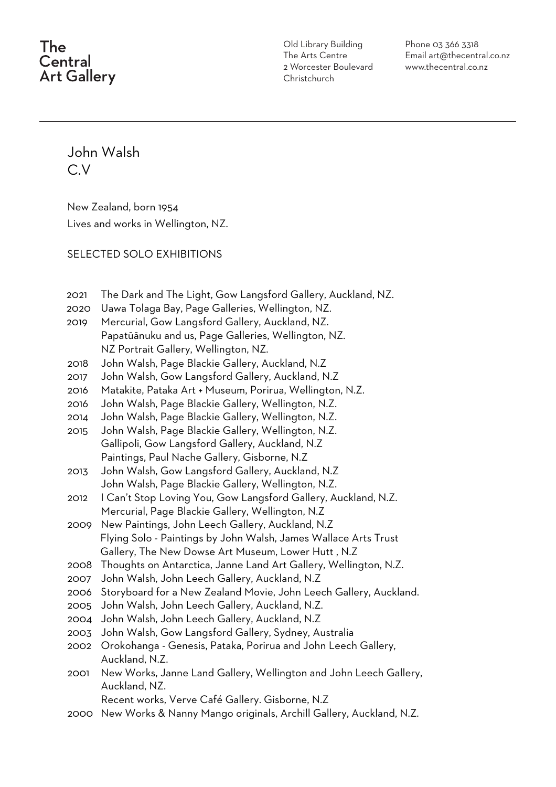Old Library Building The Arts Centre 2 Worcester Boulevard Christchurch

Phone 03 366 3318 Email art@thecentral.co.nz www.thecentral.co.nz

John Walsh C.V

New Zealand, born 1954 Lives and works in Wellington, NZ.

SELECTED SOLO EXHIBITIONS

- 2021 The Dark and The Light, Gow Langsford Gallery, Auckland, NZ.
- 2020 Uawa Tolaga Bay, Page Galleries, Wellington, NZ.
- 2019 Mercurial, Gow Langsford Gallery, Auckland, NZ. Papatūānuku and us, Page Galleries, Wellington, NZ. NZ Portrait Gallery, Wellington, NZ.
- 2018 John Walsh, Page Blackie Gallery, Auckland, N.Z
- 2017 John Walsh, Gow Langsford Gallery, Auckland, N.Z
- 2016 Matakite, Pataka Art + Museum, Porirua, Wellington, N.Z.
- 2016 John Walsh, Page Blackie Gallery, Wellington, N.Z.
- 2014 John Walsh, Page Blackie Gallery, Wellington, N.Z.
- 2015 John Walsh, Page Blackie Gallery, Wellington, N.Z. Gallipoli, Gow Langsford Gallery, Auckland, N.Z Paintings, Paul Nache Gallery, Gisborne, N.Z
- 2013 John Walsh, Gow Langsford Gallery, Auckland, N.Z John Walsh, Page Blackie Gallery, Wellington, N.Z.
- 2012 I Can't Stop Loving You, Gow Langsford Gallery, Auckland, N.Z. Mercurial, Page Blackie Gallery, Wellington, N.Z
- 2009 New Paintings, John Leech Gallery, Auckland, N.Z Flying Solo - Paintings by John Walsh, James Wallace Arts Trust Gallery, The New Dowse Art Museum, Lower Hutt , N.Z
- 2008 Thoughts on Antarctica, Janne Land Art Gallery, Wellington, N.Z.
- 2007 John Walsh, John Leech Gallery, Auckland, N.Z
- 2006 Storyboard for a New Zealand Movie, John Leech Gallery, Auckland.
- 2005 John Walsh, John Leech Gallery, Auckland, N.Z.
- 2004 John Walsh, John Leech Gallery, Auckland, N.Z
- 2003 John Walsh, Gow Langsford Gallery, Sydney, Australia
- 2002 Orokohanga Genesis, Pataka, Porirua and John Leech Gallery, Auckland, N.Z.
- 2001 New Works, Janne Land Gallery, Wellington and John Leech Gallery, Auckland, NZ.
	- Recent works, Verve Café Gallery. Gisborne, N.Z
- 2000 New Works & Nanny Mango originals, Archill Gallery, Auckland, N.Z.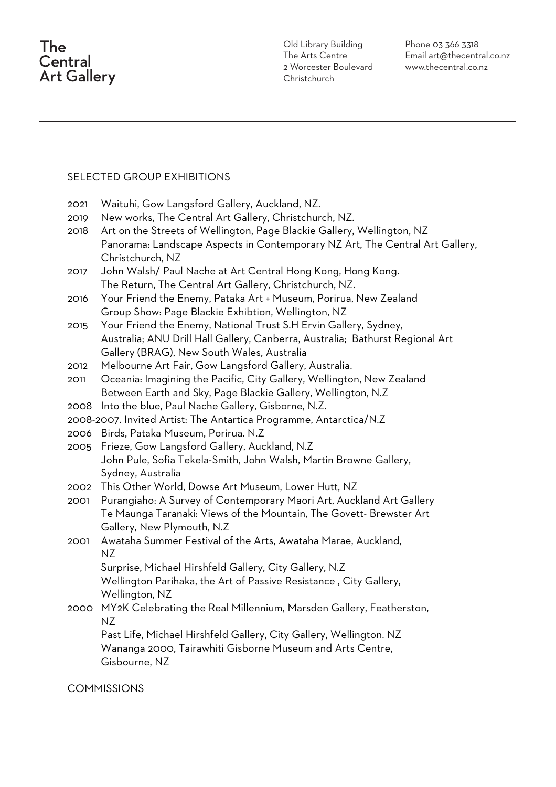Old Library Building The Arts Centre 2 Worcester Boulevard Christchurch

Phone 03 366 3318 Email art@thecentral.co.nz www.thecentral.co.nz

### SELECTED GROUP EXHIBITIONS

- 2021 Waituhi, Gow Langsford Gallery, Auckland, NZ.
- 2019 New works, The Central Art Gallery, Christchurch, NZ.
- 2018 Art on the Streets of Wellington, Page Blackie Gallery, Wellington, NZ Panorama: Landscape Aspects in Contemporary NZ Art, The Central Art Gallery, Christchurch, NZ
- 2017 John Walsh/ Paul Nache at Art Central Hong Kong, Hong Kong. The Return, The Central Art Gallery, Christchurch, NZ.
- 2016 Your Friend the Enemy, Pataka Art + Museum, Porirua, New Zealand Group Show: Page Blackie Exhibtion, Wellington, NZ
- 2015 Your Friend the Enemy, National Trust S.H Ervin Gallery, Sydney, Australia; ANU Drill Hall Gallery, Canberra, Australia; Bathurst Regional Art Gallery (BRAG), New South Wales, Australia
- 2012 Melbourne Art Fair, Gow Langsford Gallery, Australia.
- 2011 Oceania: Imagining the Pacific, City Gallery, Wellington, New Zealand Between Earth and Sky, Page Blackie Gallery, Wellington, N.Z
- 2008 Into the blue, Paul Nache Gallery, Gisborne, N.Z.
- 2008-2007. Invited Artist: The Antartica Programme, Antarctica/N.Z
- 2006 Birds, Pataka Museum, Porirua. N.Z
- 2005 Frieze, Gow Langsford Gallery, Auckland, N.Z John Pule, Sofia Tekela-Smith, John Walsh, Martin Browne Gallery, Sydney, Australia
- 2002 This Other World, Dowse Art Museum, Lower Hutt, NZ
- 2001 Purangiaho: A Survey of Contemporary Maori Art, Auckland Art Gallery Te Maunga Taranaki: Views of the Mountain, The Govett- Brewster Art Gallery, New Plymouth, N.Z
- 2001 Awataha Summer Festival of the Arts, Awataha Marae, Auckland, NZ
	- Surprise, Michael Hirshfeld Gallery, City Gallery, N.Z
	- Wellington Parihaka, the Art of Passive Resistance , City Gallery, Wellington, NZ
- 2000 MY2K Celebrating the Real Millennium, Marsden Gallery, Featherston, NZ

 Past Life, Michael Hirshfeld Gallery, City Gallery, Wellington. NZ Wananga 2000, Tairawhiti Gisborne Museum and Arts Centre, Gisbourne, NZ

**COMMISSIONS**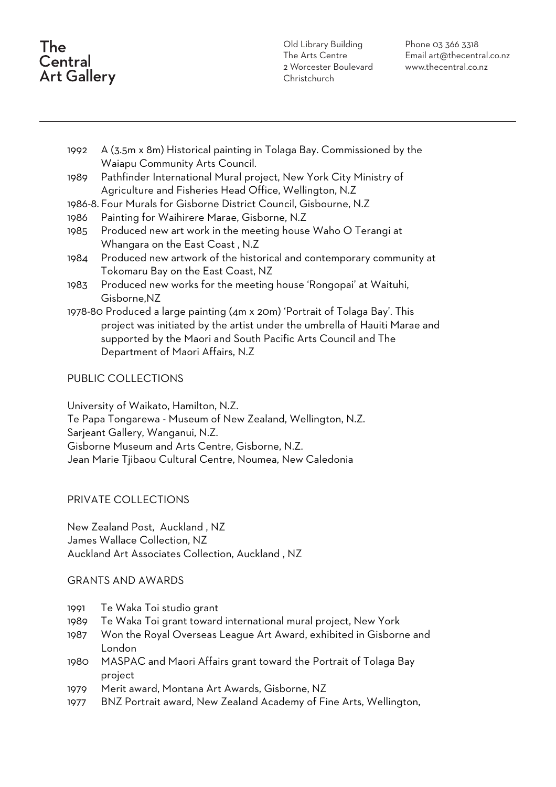Old Library Building The Arts Centre 2 Worcester Boulevard Christchurch

Phone 03 366 3318 Email art@thecentral.co.nz www.thecentral.co.nz

- 1992 A (3.5m x 8m) Historical painting in Tolaga Bay. Commissioned by the Waiapu Community Arts Council.
- 1989 Pathfinder International Mural project, New York City Ministry of Agriculture and Fisheries Head Office, Wellington, N.Z
- 1986-8. Four Murals for Gisborne District Council, Gisbourne, N.Z
- 1986 Painting for Waihirere Marae, Gisborne, N.Z
- 1985 Produced new art work in the meeting house Waho O Terangi at Whangara on the East Coast , N.Z
- 1984 Produced new artwork of the historical and contemporary community at Tokomaru Bay on the East Coast, NZ
- 1983 Produced new works for the meeting house 'Rongopai' at Waituhi, Gisborne,NZ
- 1978-80 Produced a large painting (4m x 20m) 'Portrait of Tolaga Bay'. This project was initiated by the artist under the umbrella of Hauiti Marae and supported by the Maori and South Pacific Arts Council and The Department of Maori Affairs, N.Z

### PUBLIC COLLECTIONS

University of Waikato, Hamilton, N.Z. Te Papa Tongarewa - Museum of New Zealand, Wellington, N.Z. Sarjeant Gallery, Wanganui, N.Z. Gisborne Museum and Arts Centre, Gisborne, N.Z. Jean Marie Tjibaou Cultural Centre, Noumea, New Caledonia

### PRIVATE COLLECTIONS

New Zealand Post, Auckland , NZ James Wallace Collection, NZ Auckland Art Associates Collection, Auckland , NZ

### GRANTS AND AWARDS

- 1991 Te Waka Toi studio grant
- 1989 Te Waka Toi grant toward international mural project, New York
- 1987 Won the Royal Overseas League Art Award, exhibited in Gisborne and London
- 1980 MASPAC and Maori Affairs grant toward the Portrait of Tolaga Bay project
- 1979 Merit award, Montana Art Awards, Gisborne, NZ
- 1977 BNZ Portrait award, New Zealand Academy of Fine Arts, Wellington,